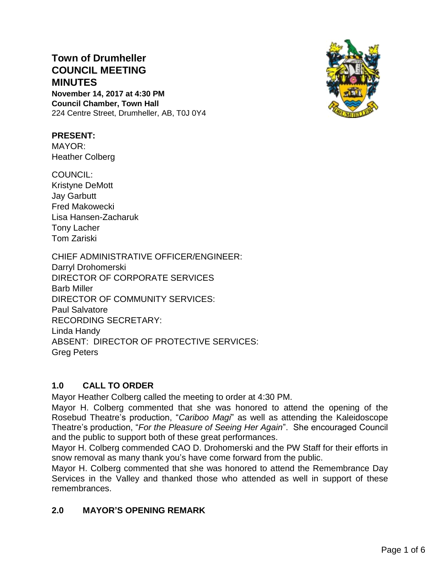# **Town of Drumheller COUNCIL MEETING MINUTES**

**November 14, 2017 at 4:30 PM Council Chamber, Town Hall** 224 Centre Street, Drumheller, AB, T0J 0Y4



#### **PRESENT:**

MAYOR: Heather Colberg

COUNCIL: Kristyne DeMott Jay Garbutt Fred Makowecki Lisa Hansen-Zacharuk Tony Lacher Tom Zariski

CHIEF ADMINISTRATIVE OFFICER/ENGINEER: Darryl Drohomerski DIRECTOR OF CORPORATE SERVICES Barb Miller DIRECTOR OF COMMUNITY SERVICES: Paul Salvatore RECORDING SECRETARY: Linda Handy ABSENT: DIRECTOR OF PROTECTIVE SERVICES: Greg Peters

# **1.0 CALL TO ORDER**

Mayor Heather Colberg called the meeting to order at 4:30 PM.

Mayor H. Colberg commented that she was honored to attend the opening of the Rosebud Theatre's production, "*Cariboo Magi*" as well as attending the Kaleidoscope Theatre's production, "*For the Pleasure of Seeing Her Again*". She encouraged Council and the public to support both of these great performances.

Mayor H. Colberg commended CAO D. Drohomerski and the PW Staff for their efforts in snow removal as many thank you's have come forward from the public.

Mayor H. Colberg commented that she was honored to attend the Remembrance Day Services in the Valley and thanked those who attended as well in support of these remembrances.

## **2.0 MAYOR'S OPENING REMARK**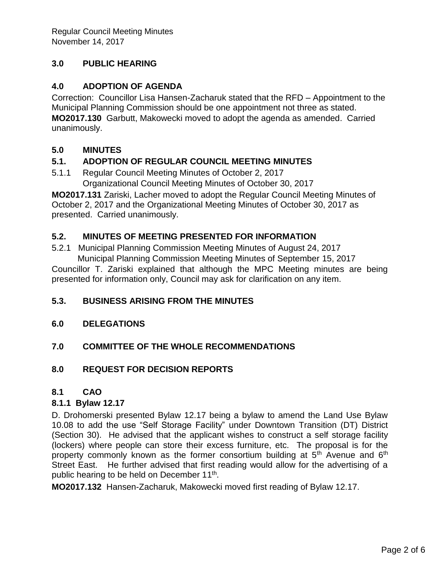# **3.0 PUBLIC HEARING**

## **4.0 ADOPTION OF AGENDA**

Correction: Councillor Lisa Hansen-Zacharuk stated that the RFD – Appointment to the Municipal Planning Commission should be one appointment not three as stated. **MO2017.130** Garbutt, Makowecki moved to adopt the agenda as amended. Carried unanimously.

## **5.0 MINUTES**

## **5.1. ADOPTION OF REGULAR COUNCIL MEETING MINUTES**

5.1.1 Regular Council Meeting Minutes of October 2, 2017 Organizational Council Meeting Minutes of October 30, 2017

**MO2017.131** Zariski, Lacher moved to adopt the Regular Council Meeting Minutes of October 2, 2017 and the Organizational Meeting Minutes of October 30, 2017 as presented. Carried unanimously.

## **5.2. MINUTES OF MEETING PRESENTED FOR INFORMATION**

5.2.1 Municipal Planning Commission Meeting Minutes of August 24, 2017 Municipal Planning Commission Meeting Minutes of September 15, 2017

Councillor T. Zariski explained that although the MPC Meeting minutes are being presented for information only, Council may ask for clarification on any item.

## **5.3. BUSINESS ARISING FROM THE MINUTES**

**6.0 DELEGATIONS**

## **7.0 COMMITTEE OF THE WHOLE RECOMMENDATIONS**

## **8.0 REQUEST FOR DECISION REPORTS**

## **8.1 CAO**

## **8.1.1 Bylaw 12.17**

D. Drohomerski presented Bylaw 12.17 being a bylaw to amend the Land Use Bylaw 10.08 to add the use "Self Storage Facility" under Downtown Transition (DT) District (Section 30). He advised that the applicant wishes to construct a self storage facility (lockers) where people can store their excess furniture, etc. The proposal is for the property commonly known as the former consortium building at  $5<sup>th</sup>$  Avenue and  $6<sup>th</sup>$ Street East. He further advised that first reading would allow for the advertising of a public hearing to be held on December 11<sup>th</sup>.

**MO2017.132** Hansen-Zacharuk, Makowecki moved first reading of Bylaw 12.17.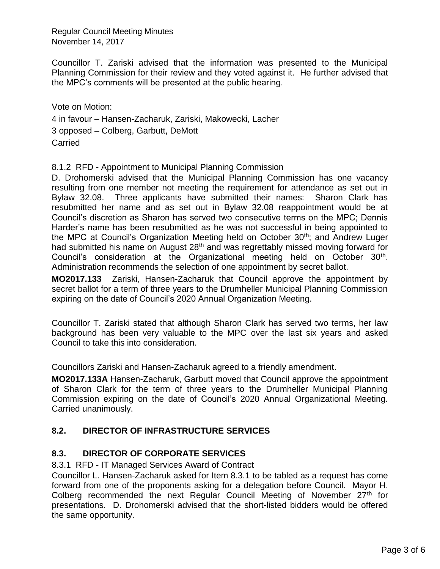Regular Council Meeting Minutes November 14, 2017

Councillor T. Zariski advised that the information was presented to the Municipal Planning Commission for their review and they voted against it. He further advised that the MPC's comments will be presented at the public hearing.

Vote on Motion: 4 in favour – Hansen-Zacharuk, Zariski, Makowecki, Lacher 3 opposed – Colberg, Garbutt, DeMott Carried

#### 8.1.2 RFD - Appointment to Municipal Planning Commission

D. Drohomerski advised that the Municipal Planning Commission has one vacancy resulting from one member not meeting the requirement for attendance as set out in Bylaw 32.08. Three applicants have submitted their names: Sharon Clark has resubmitted her name and as set out in Bylaw 32.08 reappointment would be at Council's discretion as Sharon has served two consecutive terms on the MPC; Dennis Harder's name has been resubmitted as he was not successful in being appointed to the MPC at Council's Organization Meeting held on October 30<sup>th</sup>; and Andrew Luger had submitted his name on August 28<sup>th</sup> and was regrettably missed moving forward for Council's consideration at the Organizational meeting held on October 30<sup>th</sup>. Administration recommends the selection of one appointment by secret ballot.

**MO2017.133** Zariski, Hansen-Zacharuk that Council approve the appointment by secret ballot for a term of three years to the Drumheller Municipal Planning Commission expiring on the date of Council's 2020 Annual Organization Meeting.

Councillor T. Zariski stated that although Sharon Clark has served two terms, her law background has been very valuable to the MPC over the last six years and asked Council to take this into consideration.

Councillors Zariski and Hansen-Zacharuk agreed to a friendly amendment.

**MO2017.133A** Hansen-Zacharuk, Garbutt moved that Council approve the appointment of Sharon Clark for the term of three years to the Drumheller Municipal Planning Commission expiring on the date of Council's 2020 Annual Organizational Meeting. Carried unanimously.

## **8.2. DIRECTOR OF INFRASTRUCTURE SERVICES**

## **8.3. DIRECTOR OF CORPORATE SERVICES**

8.3.1 RFD - IT Managed Services Award of Contract

Councillor L. Hansen-Zacharuk asked for Item 8.3.1 to be tabled as a request has come forward from one of the proponents asking for a delegation before Council. Mayor H. Colberg recommended the next Regular Council Meeting of November 27<sup>th</sup> for presentations. D. Drohomerski advised that the short-listed bidders would be offered the same opportunity.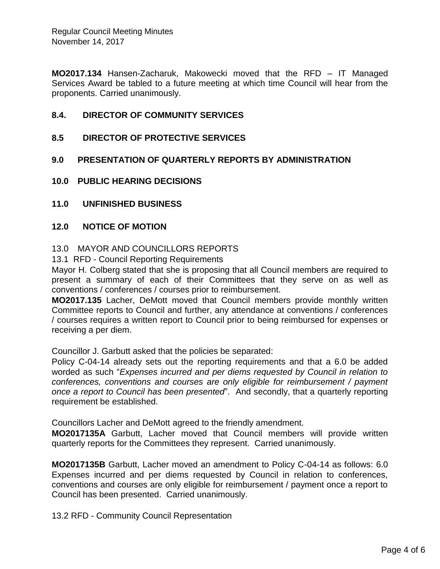**MO2017.134** Hansen-Zacharuk, Makowecki moved that the RFD – IT Managed Services Award be tabled to a future meeting at which time Council will hear from the proponents. Carried unanimously.

#### **8.4. DIRECTOR OF COMMUNITY SERVICES**

- **8.5 DIRECTOR OF PROTECTIVE SERVICES**
- **9.0 PRESENTATION OF QUARTERLY REPORTS BY ADMINISTRATION**
- **10.0 PUBLIC HEARING DECISIONS**
- **11.0 UNFINISHED BUSINESS**

#### **12.0 NOTICE OF MOTION**

#### 13.0 MAYOR AND COUNCILLORS REPORTS

13.1 RFD - Council Reporting Requirements

Mayor H. Colberg stated that she is proposing that all Council members are required to present a summary of each of their Committees that they serve on as well as conventions / conferences / courses prior to reimbursement.

**MO2017.135** Lacher, DeMott moved that Council members provide monthly written Committee reports to Council and further, any attendance at conventions / conferences / courses requires a written report to Council prior to being reimbursed for expenses or receiving a per diem.

Councillor J. Garbutt asked that the policies be separated:

Policy C-04-14 already sets out the reporting requirements and that a 6.0 be added worded as such "*Expenses incurred and per diems requested by Council in relation to conferences, conventions and courses are only eligible for reimbursement / payment once a report to Council has been presented*". And secondly, that a quarterly reporting requirement be established.

Councillors Lacher and DeMott agreed to the friendly amendment.

**MO2017135A** Garbutt, Lacher moved that Council members will provide written quarterly reports for the Committees they represent. Carried unanimously.

**MO2017135B** Garbutt, Lacher moved an amendment to Policy C-04-14 as follows: 6.0 Expenses incurred and per diems requested by Council in relation to conferences, conventions and courses are only eligible for reimbursement / payment once a report to Council has been presented. Carried unanimously.

13.2 RFD - Community Council Representation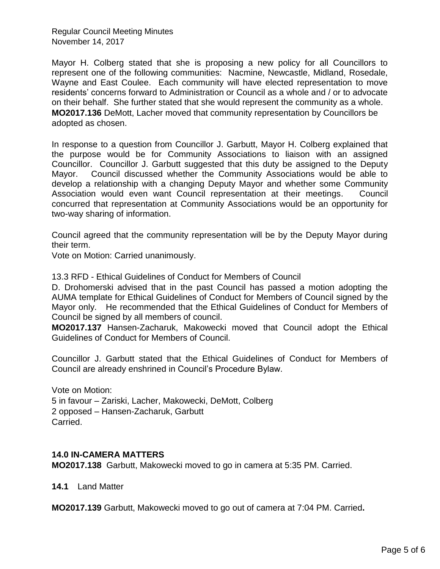Regular Council Meeting Minutes November 14, 2017

Mayor H. Colberg stated that she is proposing a new policy for all Councillors to represent one of the following communities: Nacmine, Newcastle, Midland, Rosedale, Wayne and East Coulee. Each community will have elected representation to move residents' concerns forward to Administration or Council as a whole and / or to advocate on their behalf. She further stated that she would represent the community as a whole. **MO2017.136** DeMott, Lacher moved that community representation by Councillors be adopted as chosen.

In response to a question from Councillor J. Garbutt, Mayor H. Colberg explained that the purpose would be for Community Associations to liaison with an assigned Councillor. Councillor J. Garbutt suggested that this duty be assigned to the Deputy Mayor. Council discussed whether the Community Associations would be able to develop a relationship with a changing Deputy Mayor and whether some Community Association would even want Council representation at their meetings. Council concurred that representation at Community Associations would be an opportunity for two-way sharing of information.

Council agreed that the community representation will be by the Deputy Mayor during their term.

Vote on Motion: Carried unanimously.

13.3 RFD - Ethical Guidelines of Conduct for Members of Council

D. Drohomerski advised that in the past Council has passed a motion adopting the AUMA template for Ethical Guidelines of Conduct for Members of Council signed by the Mayor only. He recommended that the Ethical Guidelines of Conduct for Members of Council be signed by all members of council.

**MO2017.137** Hansen-Zacharuk, Makowecki moved that Council adopt the Ethical Guidelines of Conduct for Members of Council.

Councillor J. Garbutt stated that the Ethical Guidelines of Conduct for Members of Council are already enshrined in Council's Procedure Bylaw.

Vote on Motion: 5 in favour – Zariski, Lacher, Makowecki, DeMott, Colberg 2 opposed – Hansen-Zacharuk, Garbutt Carried.

#### **14.0 IN-CAMERA MATTERS**

**MO2017.138** Garbutt, Makowecki moved to go in camera at 5:35 PM. Carried.

**14.1** Land Matter

**MO2017.139** Garbutt, Makowecki moved to go out of camera at 7:04 PM. Carried**.**